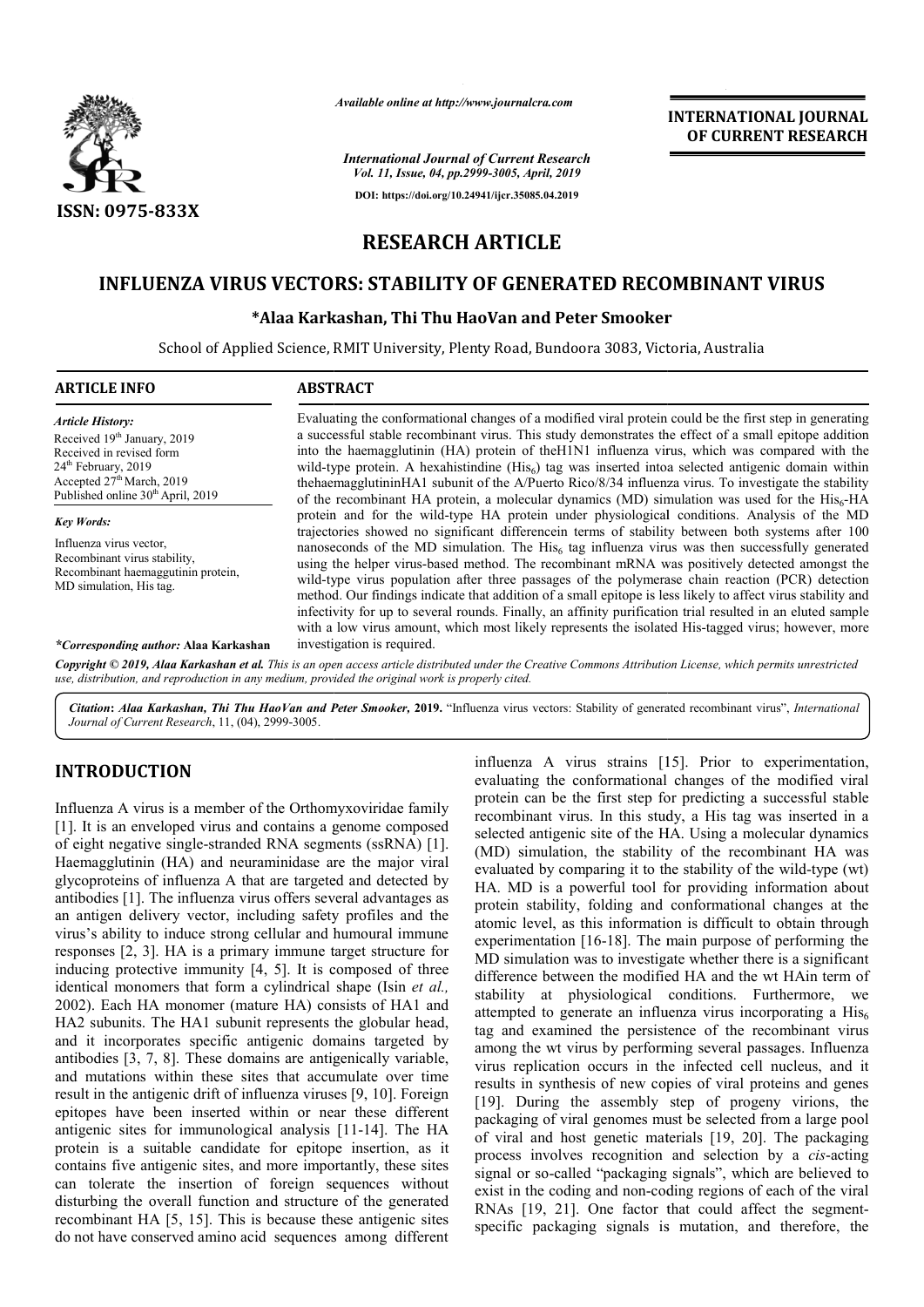

*Available online at http://www.journalcra.com*

**INTERNATIONAL JOURNAL OF CURRENT RESEARCH**

*International Journal of Current Research Vol. 11, Issue, 04, pp.2999-3005, April, 2019* **DOI: https://doi.org/10.24941/ijcr.35085.04.2019**

**RESEARCH ARTICLE**

# INFLUENZA VIRUS VECTORS: STABILITY OF GENERATED RECOMBINANT VIRUS<br>Alaa Karkashan, Thi Thu HaoVan and Peter Smooker\*\*

### **\*Alaa Karkashan, Thi Thu HaoVan and Peter Smooker Alaa**

School of Applied Science, RMIT University, Plenty Road, Bundoora 3083, Victoria, Australia ,

| <b>ARTICLE INFO</b>                                                                                                                                                                                                | <b>ABSTRACT</b>                                                                                                                                                                                                                                                                                                                                                                                                                                                                                                                                                                                                                                                                                                                                                                                                                                                                                                                                                                                                                                                                                                                                                                                                                                                                                                                                                                                                                                                                                              |
|--------------------------------------------------------------------------------------------------------------------------------------------------------------------------------------------------------------------|--------------------------------------------------------------------------------------------------------------------------------------------------------------------------------------------------------------------------------------------------------------------------------------------------------------------------------------------------------------------------------------------------------------------------------------------------------------------------------------------------------------------------------------------------------------------------------------------------------------------------------------------------------------------------------------------------------------------------------------------------------------------------------------------------------------------------------------------------------------------------------------------------------------------------------------------------------------------------------------------------------------------------------------------------------------------------------------------------------------------------------------------------------------------------------------------------------------------------------------------------------------------------------------------------------------------------------------------------------------------------------------------------------------------------------------------------------------------------------------------------------------|
| <b>Article History:</b><br>Received 19 <sup>th</sup> January, 2019<br>Received in revised form<br>24 <sup>th</sup> February, 2019<br>Accepted $27th March$ , 2019<br>Published online 30 <sup>th</sup> April, 2019 | Evaluating the conformational changes of a modified viral protein could be the first step in generating<br>a successful stable recombinant virus. This study demonstrates the effect of a small epitope addition<br>into the haemagglutinin (HA) protein of the H1N1 influenza virus, which was compared with the<br>wild-type protein. A hexahistindine (His <sub>6</sub> ) tag was inserted into aselected antigenic domain within<br>the haemagglutinin HA1 subunit of the A/Puerto Rico/8/34 influenza virus. To investigate the stability<br>of the recombinant HA protein, a molecular dynamics (MD) simulation was used for the His <sub>6</sub> -HA<br>protein and for the wild-type HA protein under physiological conditions. Analysis of the MD<br>trajectories showed no significant difference in terms of stability between both systems after 100<br>nanoseconds of the MD simulation. The $His6$ tag influenza virus was then successfully generated<br>using the helper virus-based method. The recombinant mRNA was positively detected amongst the<br>wild-type virus population after three passages of the polymerase chain reaction (PCR) detection<br>method. Our findings indicate that addition of a small epitope is less likely to affect virus stability and<br>infectivity for up to several rounds. Finally, an affinity purification trial resulted in an eluted sample<br>with a low virus amount, which most likely represents the isolated His-tagged virus; however, more |
| <b>Key Words:</b><br>Influenza virus vector,<br>Recombinant virus stability,<br>Recombinant haemaggutinin protein,<br>MD simulation, His tag.                                                                      |                                                                                                                                                                                                                                                                                                                                                                                                                                                                                                                                                                                                                                                                                                                                                                                                                                                                                                                                                                                                                                                                                                                                                                                                                                                                                                                                                                                                                                                                                                              |
| <i>*Corresponding author:</i> Alaa Karkashan                                                                                                                                                                       | investigation is required.                                                                                                                                                                                                                                                                                                                                                                                                                                                                                                                                                                                                                                                                                                                                                                                                                                                                                                                                                                                                                                                                                                                                                                                                                                                                                                                                                                                                                                                                                   |

Copyright © 2019, Alaa Karkashan et al. This is an open access article distributed under the Creative Commons Attribution License, which permits unrestricted *use, distribution, and reproduction in any medium, provided the original work is properly cited.*

Citation: Alaa Karkashan, Thi Thu HaoVan and Peter Smooker, 2019. "Influenza virus vectors: Stability of generated recombinant virus", International *Journal of Current Research*, 11, (04), 2999-3005.

## **INTRODUCTION**

Influenza A virus is a member of the Orthomyxoviridae family [1]. It is an enveloped virus and contains a genome composed of eight negative single-stranded RNA segments (ssRNA) [1]. Haemagglutinin (HA) and neuraminidase are the major viral glycoproteins of influenza A that are targeted and detected by antibodies [1]. The influenza virus offers several advantages as an antigen delivery vector, including safety profiles and the virus's ability to induce strong cellular and humoural immune responses [2, 3]. HA is a primary immune target structure for inducing protective immunity [4, 5]. It is composed of three identical monomers that form a cylindrical shape (Isin *et al.,*  2002). Each HA monomer (mature HA) consists of HA1 and HA2 subunits. The HA1 subunit represents the globular head, and it incorporates specific antigenic domains targeted by antibodies [3, 7, 8]. These domains are antigeni HA2 subunits. The HA1 subunit represents the globular head, and it incorporates specific antigenic domains targeted by antibodies [3, 7, 8]. These domains are antigenically and mutations within these sites that accumulate over time result in the antigenic drift of influenza viruses [9, 10]. Foreign epitopes have been inserted within or near these different antigenic sites for immunological analysis [11-14]. The HA protein is a suitable candidate for epitope insertion, as it contains five antigenic sites, and more importantly, these sites can tolerate the insertion of foreign sequences without disturbing the overall function and structure of the generated recombinant HA [5, 15]. This is because these antigenic sites do not have conserved amino acid sequences among different

influenza A virus strains [15]. Prior to experimentation, evaluating the conformational changes of the modified viral protein can be the first step for predicting a successful stable recombinant virus. In this study, a His tag was inserted in a selected antigenic site of the HA. Using a molecular dynamics (MD) simulation, the stability of the recombinant HA was evaluated by comparing it to the stability of the wild-type (wt) HA. MD is a powerful tool for providing information about protein stability, folding and conformational changes at the atomic level, as this information is difficult to obtain through experimentation [16-18]. The main purpose of performing the MD simulation was to investigate whether there is a significant difference between the modified HA and the wt HAin term of stability at physiological conditions. Furthermore, we attempted to generate an influenza virus incorporating a  $His<sub>6</sub>$ tag and examined the persistence of the recombinant virus among the wt virus by performing several passages. Influenza virus replication occurs in the infected cell nucleus, and it results in synthesis of new copies of viral proteins and genes [19]. During the assembly step of progeny virions, the packaging of viral genomes must be selected from a large pool of viral and host genetic materials [19, 20]. The packaging process involves recognition and selection by a *cis*-acting signal or so-called "packaging signals", which are believed to exist in the coding and non-coding regions of each of the viral RNAs [19, 21]. One factor that could affect the segment specific packaging signals is mutation, and therefore, the evaluating the conformational changes of the modified viral protein can be the first step for predicting a successful stable recombinant virus. In this study, a His tag was inserted in a selected antigenic site of the HA. If is a powerful tool for providing information about stability, folding and conformational changes at the evel, as this information is difficult to obtain through entation [16-18]. The main purpose of performing the among the wt virus by performing several passages. Influenza virus replication occurs in the infected cell nucleus, and it results in synthesis of new copies of viral proteins and genes [19]. During the assembly step of pr ng signals", which are believed to<br>coding regions of each of the viral<br>or that could affect the segment-**EXERCISE THE SET ASSEMBATIONAL JOURNAL FORMAL FORMAL FORMAL CONNECTION CONNECTION CONNECTION CONNECTION CONNECTION (CONNECTION CONNECTION CONNECTION (CONNECTION CONNECTION CONNECTION (CONNECTION CONNECTION (CONNECTION CO**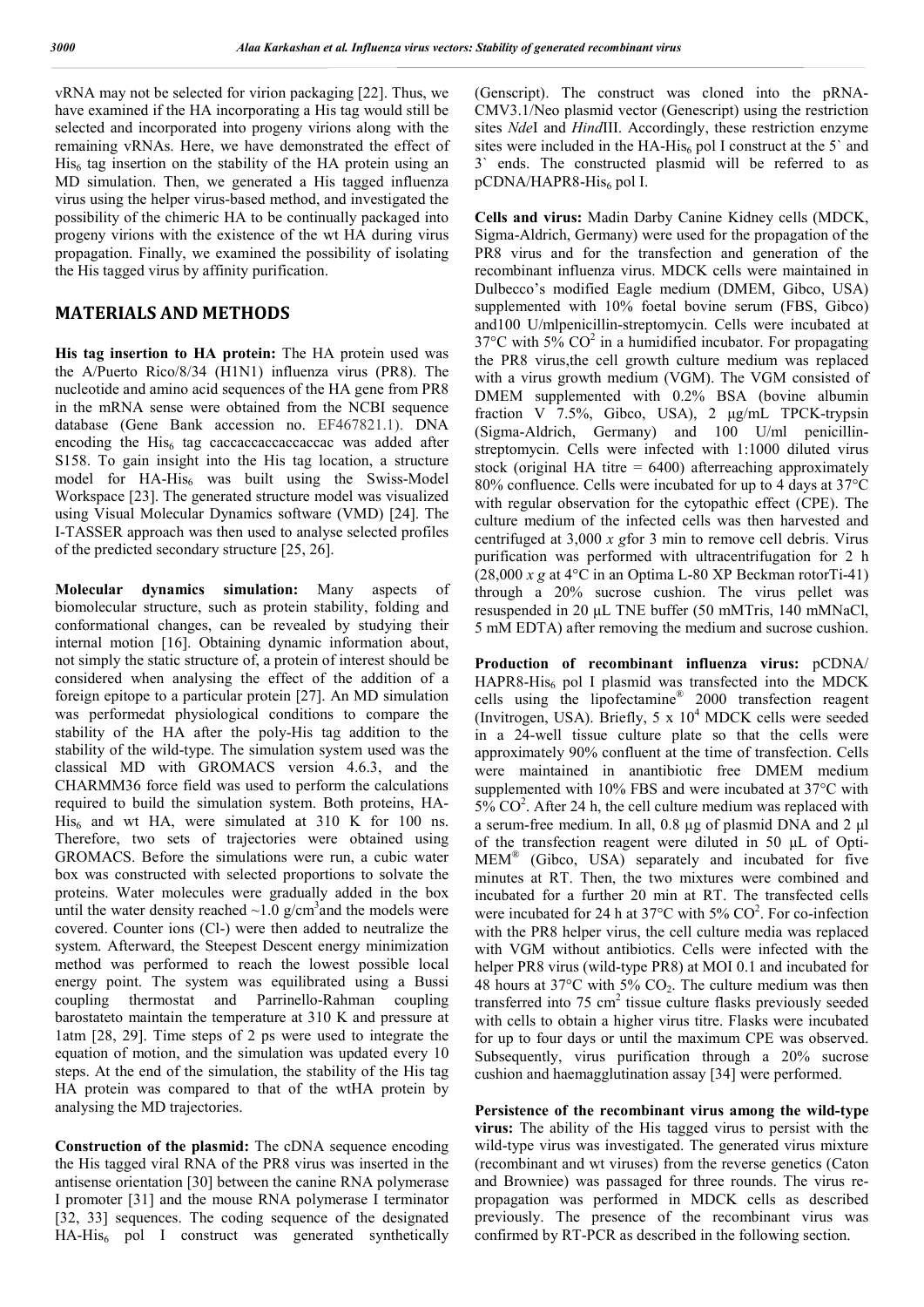vRNA may not be selected for virion packaging [22]. Thus, we have examined if the HA incorporating a His tag would still be selected and incorporated into progeny virions along with the remaining vRNAs. Here, we have demonstrated the effect of  $His<sub>6</sub>$  tag insertion on the stability of the HA protein using an MD simulation. Then, we generated a His tagged influenza virus using the helper virus-based method, and investigated the possibility of the chimeric HA to be continually packaged into progeny virions with the existence of the wt HA during virus propagation. Finally, we examined the possibility of isolating the His tagged virus by affinity purification.

#### **MATERIALS AND METHODS**

**His tag insertion to HA protein:** The HA protein used was the A/Puerto Rico/8/34 (H1N1) influenza virus (PR8). The nucleotide and amino acid sequences of the HA gene from PR8 in the mRNA sense were obtained from the NCBI sequence database (Gene Bank accession no. EF467821.1). DNA encoding the  $His<sub>6</sub>$  tag caccaccaccaccaccac was added after S158. To gain insight into the His tag location, a structure model for  $HA$ -His<sub>6</sub> was built using the Swiss-Model Workspace [23]. The generated structure model was visualized using Visual Molecular Dynamics software (VMD) [24]. The I-TASSER approach was then used to analyse selected profiles of the predicted secondary structure [25, 26].

**Molecular dynamics simulation:** Many aspects of biomolecular structure, such as protein stability, folding and conformational changes, can be revealed by studying their internal motion [16]. Obtaining dynamic information about, not simply the static structure of, a protein of interest should be considered when analysing the effect of the addition of a foreign epitope to a particular protein [27]. An MD simulation was performedat physiological conditions to compare the stability of the HA after the poly-His tag addition to the stability of the wild-type. The simulation system used was the classical MD with GROMACS version 4.6.3, and the CHARMM36 force field was used to perform the calculations required to build the simulation system. Both proteins, HA- $His<sub>6</sub>$  and wt HA, were simulated at 310 K for 100 ns. Therefore, two sets of trajectories were obtained using GROMACS. Before the simulations were run, a cubic water box was constructed with selected proportions to solvate the proteins. Water molecules were gradually added in the box until the water density reached  $\sim 1.0$  g/cm<sup>3</sup> and the models were covered. Counter ions (Cl-) were then added to neutralize the system. Afterward, the Steepest Descent energy minimization method was performed to reach the lowest possible local energy point. The system was equilibrated using a Bussi coupling thermostat and Parrinello-Rahman coupling barostateto maintain the temperature at 310 K and pressure at 1atm [28, 29]. Time steps of 2 ps were used to integrate the equation of motion, and the simulation was updated every 10 steps. At the end of the simulation, the stability of the His tag HA protein was compared to that of the wtHA protein by analysing the MD trajectories.

**Construction of the plasmid:** The cDNA sequence encoding the His tagged viral RNA of the PR8 virus was inserted in the antisense orientation [30] between the canine RNA polymerase I promoter [31] and the mouse RNA polymerase I terminator [32, 33] sequences. The coding sequence of the designated HA-His<sub>6</sub> pol I construct was generated synthetically (Genscript). The construct was cloned into the pRNA-CMV3.1/Neo plasmid vector (Genescript) using the restriction sites *Nde*I and *Hind*III. Accordingly, these restriction enzyme sites were included in the HA-His<sub>6</sub> pol I construct at the 5 $^{\circ}$  and 3` ends. The constructed plasmid will be referred to as  $pCDNA/HAPR8-His<sub>6</sub>$  pol I.

**Cells and virus:** Madin Darby Canine Kidney cells (MDCK, Sigma-Aldrich, Germany) were used for the propagation of the PR8 virus and for the transfection and generation of the recombinant influenza virus. MDCK cells were maintained in Dulbecco's modified Eagle medium (DMEM, Gibco, USA) supplemented with 10% foetal bovine serum (FBS, Gibco) and100 U/mlpenicillin-streptomycin. Cells were incubated at  $37^{\circ}$ C with 5% CO<sup>2</sup> in a humidified incubator. For propagating the PR8 virus,the cell growth culture medium was replaced with a virus growth medium (VGM). The VGM consisted of DMEM supplemented with 0.2% BSA (bovine albumin fraction V 7.5%, Gibco, USA), 2 μg/mL TPCK-trypsin (Sigma-Aldrich, Germany) and 100 U/ml penicillinstreptomycin. Cells were infected with 1:1000 diluted virus stock (original HA titre  $= 6400$ ) afterreaching approximately 80% confluence. Cells were incubated for up to 4 days at 37°C with regular observation for the cytopathic effect (CPE). The culture medium of the infected cells was then harvested and centrifuged at 3,000 *x g*for 3 min to remove cell debris. Virus purification was performed with ultracentrifugation for 2 h (28,000 *x g* at 4°C in an Optima L-80 XP Beckman rotorTi-41) through a 20% sucrose cushion. The virus pellet was resuspended in 20 μL TNE buffer (50 mMTris, 140 mMNaCl, 5 mM EDTA) after removing the medium and sucrose cushion.

**Production of recombinant influenza virus:** pCDNA/ HAPR8-His $_6$  pol I plasmid was transfected into the MDCK cells using the lipofectamine® 2000 transfection reagent (Invitrogen, USA). Briefly,  $5 \times 10^4$  MDCK cells were seeded in a 24-well tissue culture plate so that the cells were approximately 90% confluent at the time of transfection. Cells were maintained in anantibiotic free DMEM medium supplemented with 10% FBS and were incubated at 37°C with  $5\%$  CO<sup>2</sup>. After 24 h, the cell culture medium was replaced with a serum-free medium. In all, 0.8 μg of plasmid DNA and 2 μl of the transfection reagent were diluted in 50 μL of Opti-MEM® (Gibco, USA) separately and incubated for five minutes at RT. Then, the two mixtures were combined and incubated for a further 20 min at RT. The transfected cells were incubated for 24 h at 37 $^{\circ}$ C with 5% CO<sup>2</sup>. For co-infection with the PR8 helper virus, the cell culture media was replaced with VGM without antibiotics. Cells were infected with the helper PR8 virus (wild-type PR8) at MOI 0.1 and incubated for 48 hours at 37 $\degree$ C with 5% CO<sub>2</sub>. The culture medium was then transferred into  $75 \text{ cm}^2$  tissue culture flasks previously seeded with cells to obtain a higher virus titre. Flasks were incubated for up to four days or until the maximum CPE was observed. Subsequently, virus purification through a 20% sucrose cushion and haemagglutination assay [34] were performed.

**Persistence of the recombinant virus among the wild-type virus:** The ability of the His tagged virus to persist with the wild-type virus was investigated. The generated virus mixture (recombinant and wt viruses) from the reverse genetics (Caton and Browniee) was passaged for three rounds. The virus repropagation was performed in MDCK cells as described previously. The presence of the recombinant virus was confirmed by RT-PCR as described in the following section.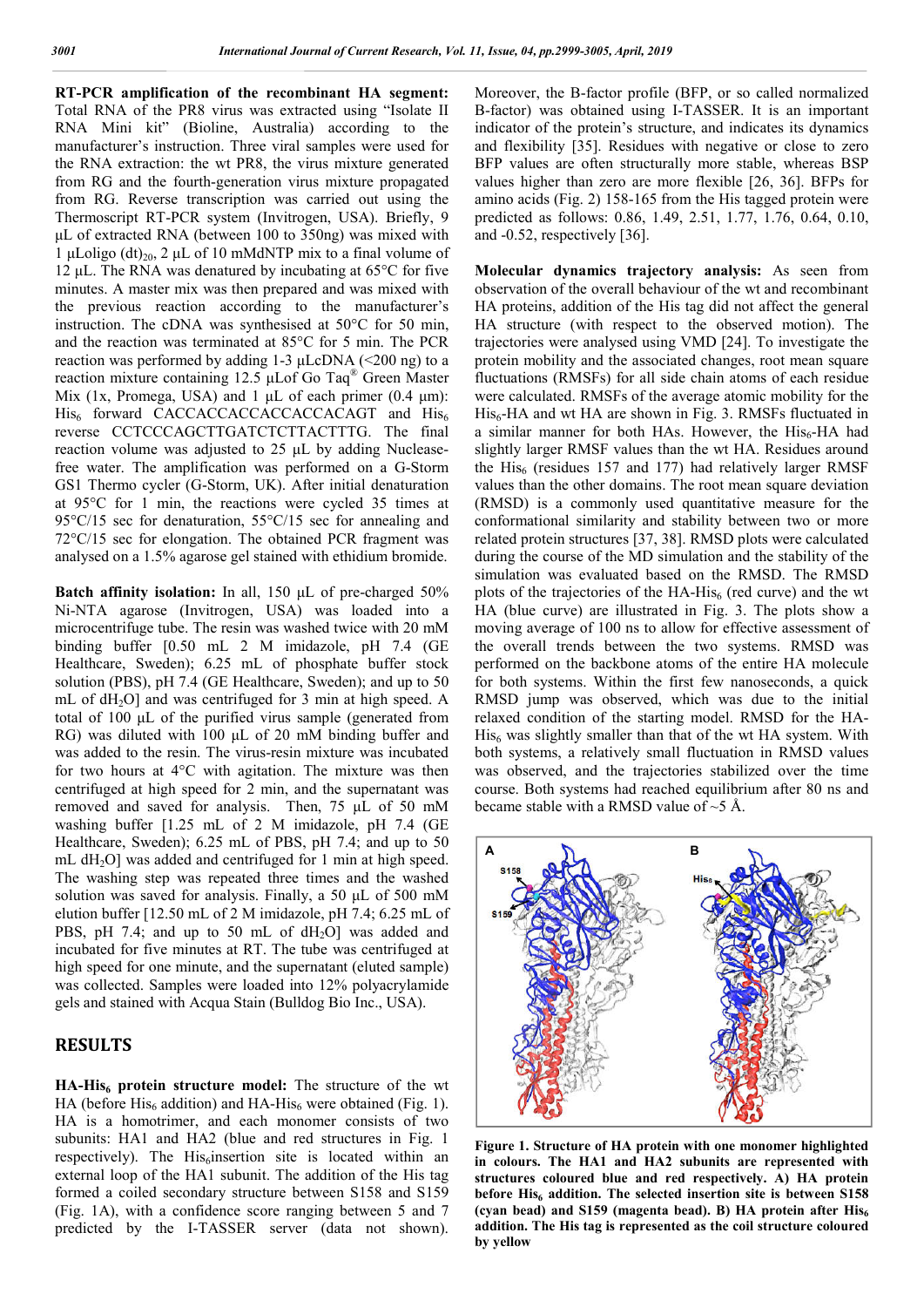**RT-PCR amplification of the recombinant HA segment:**  Total RNA of the PR8 virus was extracted using "Isolate II RNA Mini kit" (Bioline, Australia) according to the manufacturer's instruction. Three viral samples were used for the RNA extraction: the wt PR8, the virus mixture generated from RG and the fourth-generation virus mixture propagated from RG. Reverse transcription was carried out using the Thermoscript RT-PCR system (Invitrogen, USA). Briefly, 9 μL of extracted RNA (between 100 to 350ng) was mixed with 1 μLoligo (dt)<sub>20</sub>, 2 μL of 10 mMdNTP mix to a final volume of 12 μL. The RNA was denatured by incubating at  $65^{\circ}$ C for five minutes. A master mix was then prepared and was mixed with the previous reaction according to the manufacturer's instruction. The cDNA was synthesised at 50°C for 50 min, and the reaction was terminated at 85°C for 5 min. The PCR reaction was performed by adding 1-3  $\mu$ LcDNA (<200 ng) to a reaction mixture containing 12.5 μLof Go Taq® Green Master Mix (1x, Promega, USA) and 1  $\mu$ L of each primer (0.4  $\mu$ m): His<sub>6</sub> forward CACCACCACCACCACCACAGT and His<sub>6</sub> reverse CCTCCCAGCTTGATCTCTTACTTTG. The final reaction volume was adjusted to 25 μL by adding Nucleasefree water. The amplification was performed on a G-Storm GS1 Thermo cycler (G-Storm, UK). After initial denaturation at 95°C for 1 min, the reactions were cycled 35 times at 95°C/15 sec for denaturation, 55°C/15 sec for annealing and 72°C/15 sec for elongation. The obtained PCR fragment was analysed on a 1.5% agarose gel stained with ethidium bromide.

**Batch affinity isolation:** In all, 150 μL of pre-charged 50% Ni-NTA agarose (Invitrogen, USA) was loaded into a microcentrifuge tube. The resin was washed twice with 20 mM binding buffer [0.50 mL 2 M imidazole, pH 7.4 (GE Healthcare, Sweden); 6.25 mL of phosphate buffer stock solution (PBS), pH 7.4 (GE Healthcare, Sweden); and up to 50 mL of dH<sub>2</sub>O] and was centrifuged for 3 min at high speed. A total of 100 μL of the purified virus sample (generated from RG) was diluted with 100 μL of 20 mM binding buffer and was added to the resin. The virus-resin mixture was incubated for two hours at 4°C with agitation. The mixture was then centrifuged at high speed for 2 min, and the supernatant was removed and saved for analysis. Then, 75 μL of 50 mM washing buffer [1.25 mL of 2 M imidazole, pH 7.4 (GE Healthcare, Sweden); 6.25 mL of PBS, pH 7.4; and up to 50 mL  $dH<sub>2</sub>O$ ] was added and centrifuged for 1 min at high speed. The washing step was repeated three times and the washed solution was saved for analysis. Finally, a 50 μL of 500 mM elution buffer [12.50 mL of 2 M imidazole, pH 7.4; 6.25 mL of PBS, pH 7.4; and up to 50 mL of dH<sub>2</sub>O] was added and incubated for five minutes at RT. The tube was centrifuged at high speed for one minute, and the supernatant (eluted sample) was collected. Samples were loaded into 12% polyacrylamide gels and stained with Acqua Stain (Bulldog Bio Inc., USA).

#### **RESULTS**

**HA-His<sub>6</sub> protein structure model:** The structure of the wt HA (before  $His<sub>6</sub>$  addition) and HA-His<sub>6</sub> were obtained (Fig. 1). HA is a homotrimer, and each monomer consists of two subunits: HA1 and HA2 (blue and red structures in Fig. 1 respectively). The His<sub>6</sub>insertion site is located within an external loop of the HA1 subunit. The addition of the His tag formed a coiled secondary structure between S158 and S159 (Fig. 1A), with a confidence score ranging between 5 and 7 predicted by the I-TASSER server (data not shown).

Moreover, the B-factor profile (BFP, or so called normalized B-factor) was obtained using I-TASSER. It is an important indicator of the protein's structure, and indicates its dynamics and flexibility [35]. Residues with negative or close to zero BFP values are often structurally more stable, whereas BSP values higher than zero are more flexible [26, 36]. BFPs for amino acids (Fig. 2) 158-165 from the His tagged protein were predicted as follows: 0.86, 1.49, 2.51, 1.77, 1.76, 0.64, 0.10, and -0.52, respectively [36].

**Molecular dynamics trajectory analysis:** As seen from observation of the overall behaviour of the wt and recombinant HA proteins, addition of the His tag did not affect the general HA structure (with respect to the observed motion). The trajectories were analysed using VMD [24]. To investigate the protein mobility and the associated changes, root mean square fluctuations (RMSFs) for all side chain atoms of each residue were calculated. RMSFs of the average atomic mobility for the His<sub>6</sub>-HA and wt HA are shown in Fig. 3. RMSFs fluctuated in a similar manner for both HAs. However, the  $His<sub>6</sub>-HA$  had slightly larger RMSF values than the wt HA. Residues around the  $His<sub>6</sub>$  (residues 157 and 177) had relatively larger RMSF values than the other domains. The root mean square deviation (RMSD) is a commonly used quantitative measure for the conformational similarity and stability between two or more related protein structures [37, 38]. RMSD plots were calculated during the course of the MD simulation and the stability of the simulation was evaluated based on the RMSD. The RMSD plots of the trajectories of the  $HA$ -His<sub>6</sub> (red curve) and the wt HA (blue curve) are illustrated in Fig. 3. The plots show a moving average of 100 ns to allow for effective assessment of the overall trends between the two systems. RMSD was performed on the backbone atoms of the entire HA molecule for both systems. Within the first few nanoseconds, a quick RMSD jump was observed, which was due to the initial relaxed condition of the starting model. RMSD for the HA- $His<sub>6</sub>$  was slightly smaller than that of the wt HA system. With both systems, a relatively small fluctuation in RMSD values was observed, and the trajectories stabilized over the time course. Both systems had reached equilibrium after 80 ns and became stable with a RMSD value of  $\sim$ 5 Å.



**Figure 1. Structure of HA protein with one monomer highlighted in colours. The HA1 and HA2 subunits are represented with structures coloured blue and red respectively. A) HA protein**  before His<sub>6</sub> addition. The selected insertion site is between S158 **(cyan bead) and S159 (magenta bead). B) HA protein after His6 addition. The His tag is represented as the coil structure coloured by yellow**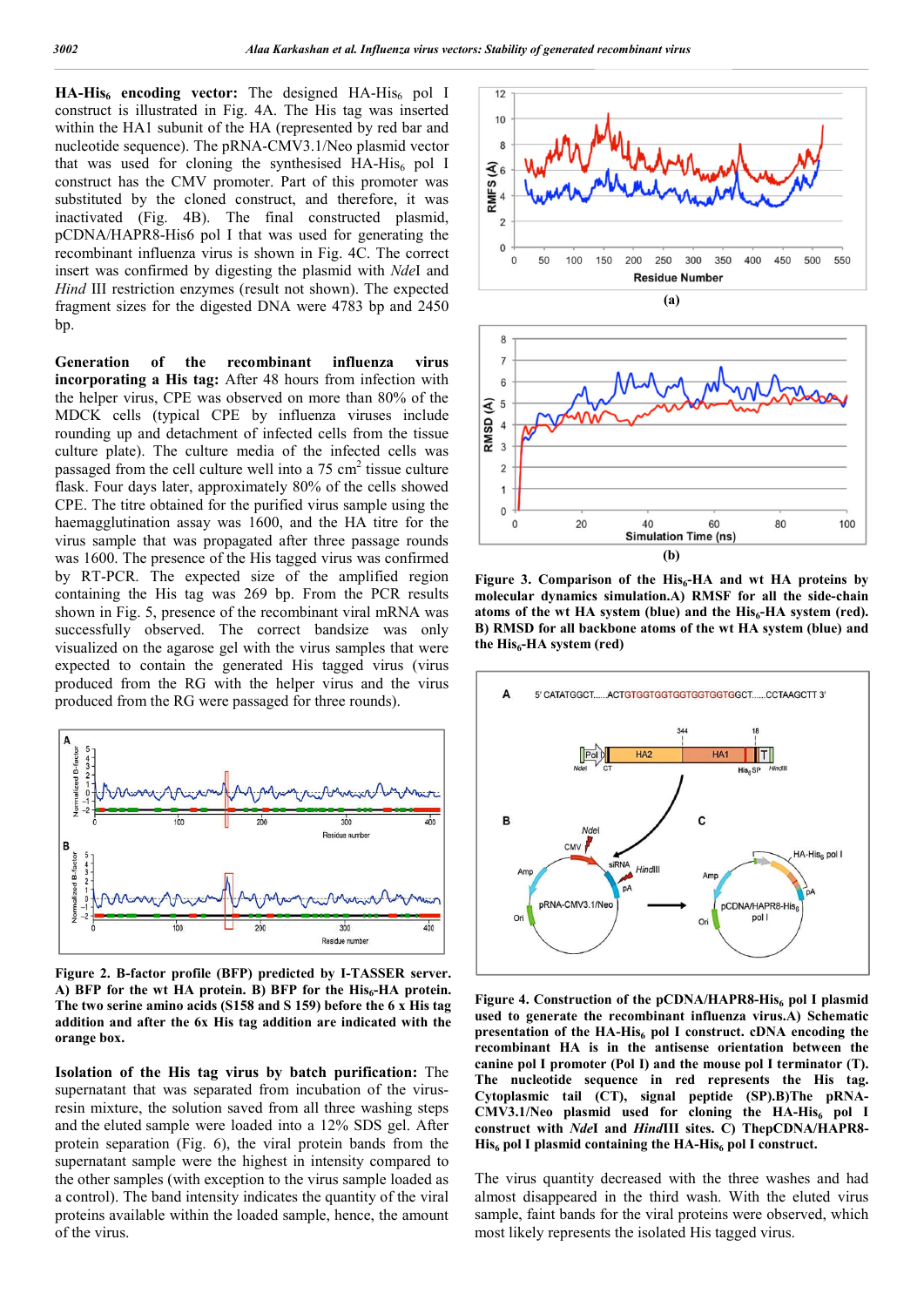HA-His<sub>6</sub> encoding vector: The designed HA-His<sub>6</sub> pol I construct is illustrated in Fig. 4A. The His tag was inserted within the HA1 subunit of the HA (represented by red bar and nucleotide sequence). The pRNA-CMV3.1/Neo plasmid vector that was used for cloning the synthesised  $HA-His<sub>6</sub>$  pol I construct has the CMV promoter. Part of this promoter was substituted by the cloned construct, and therefore, it was inactivated (Fig. 4B). The final constructed plasmid, pCDNA/HAPR8-His6 pol I that was used for generating the recombinant influenza virus is shown in Fig. 4C. The correct insert was confirmed by digesting the plasmid with *Nde*I and *Hind* III restriction enzymes (result not shown). The expected fragment sizes for the digested DNA were 4783 bp and 2450 bp.

**Generation of the recombinant influenza virus incorporating a His tag:** After 48 hours from infection with the helper virus, CPE was observed on more than 80% of the MDCK cells (typical CPE by influenza viruses include rounding up and detachment of infected cells from the tissue culture plate). The culture media of the infected cells was passaged from the cell culture well into a  $75 \text{ cm}^2$  tissue culture flask. Four days later, approximately 80% of the cells showed CPE. The titre obtained for the purified virus sample using the haemagglutination assay was 1600, and the HA titre for the virus sample that was propagated after three passage rounds was 1600. The presence of the His tagged virus was confirmed by RT-PCR. The expected size of the amplified region containing the His tag was 269 bp. From the PCR results shown in Fig. 5, presence of the recombinant viral mRNA was successfully observed. The correct bandsize was only visualized on the agarose gel with the virus samples that were expected to contain the generated His tagged virus (virus produced from the RG with the helper virus and the virus produced from the RG were passaged for three rounds).



**Figure 2. B-factor profile (BFP) predicted by I-TASSER server.** A) BFP for the wt HA protein. B) BFP for the His<sub>6</sub>-HA protein. **The two serine amino acids (S158 and S 159) before the 6 x His tag addition and after the 6x His tag addition are indicated with the orange box.**

**Isolation of the His tag virus by batch purification:** The supernatant that was separated from incubation of the virusresin mixture, the solution saved from all three washing steps and the eluted sample were loaded into a 12% SDS gel. After protein separation (Fig. 6), the viral protein bands from the supernatant sample were the highest in intensity compared to the other samples (with exception to the virus sample loaded as a control). The band intensity indicates the quantity of the viral proteins available within the loaded sample, hence, the amount of the virus.





Figure 3. Comparison of the His<sub>6</sub>-HA and wt HA proteins by **molecular dynamics simulation.A) RMSF for all the side-chain**  atoms of the wt HA system (blue) and the His<sub>6</sub>-HA system (red). **B) RMSD for all backbone atoms of the wt HA system (blue) and**  the His<sub>6</sub>-HA system (red)



Figure 4. Construction of the pCDNA/HAPR8-His<sub>6</sub> pol I plasmid **used to generate the recombinant influenza virus.A) Schematic presentation of the HA-His<sub>6</sub> pol I construct. cDNA encoding the recombinant HA is in the antisense orientation between the canine pol I promoter (Pol I) and the mouse pol I terminator (T). The nucleotide sequence in red represents the His tag. Cytoplasmic tail (CT), signal peptide (SP).B)The pRNA-**CMV3.1/Neo plasmid used for cloning the HA-His<sub>6</sub> pol I **construct with** *Nde***I and** *Hind***III sites. C) ThepCDNA/HAPR8- His6 pol I plasmid containing the HA-His6 pol I construct.**

The virus quantity decreased with the three washes and had almost disappeared in the third wash. With the eluted virus sample, faint bands for the viral proteins were observed, which most likely represents the isolated His tagged virus.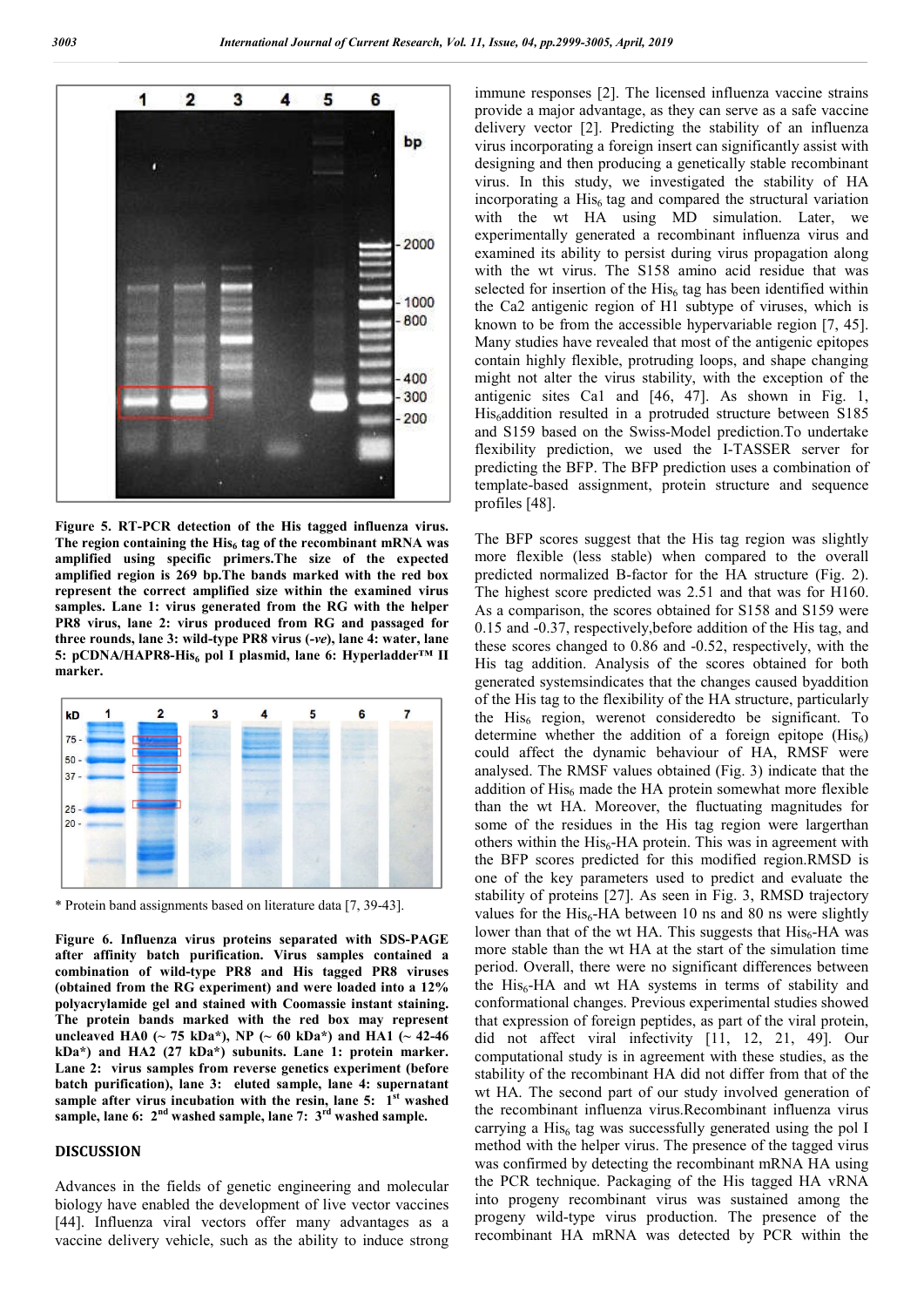

**Figure 5. RT-PCR detection of the His tagged influenza virus.**  The region containing the His<sub>6</sub> tag of the recombinant mRNA was **amplified using specific primers.The size of the expected amplified region is 269 bp.The bands marked with the red box represent the correct amplified size within the examined virus samples. Lane 1: virus generated from the RG with the helper PR8 virus, lane 2: virus produced from RG and passaged for three rounds, lane 3: wild-type PR8 virus (***-ve***), lane 4: water, lane 5: pCDNA/HAPR8-His6 pol I plasmid, lane 6: Hyperladder™ II marker.**



\* Protein band assignments based on literature data [7, 39-43].

**Figure 6. Influenza virus proteins separated with SDS-PAGE after affinity batch purification. Virus samples contained a combination of wild-type PR8 and His tagged PR8 viruses (obtained from the RG experiment) and were loaded into a 12% polyacrylamide gel and stained with Coomassie instant staining. The protein bands marked with the red box may represent uncleaved HA0 (~ 75 kDa\*), NP (~ 60 kDa\*) and HA1 (~ 42-46 kDa\*) and HA2 (27 kDa\*) subunits. Lane 1: protein marker. Lane 2: virus samples from reverse genetics experiment (before batch purification), lane 3: eluted sample, lane 4: supernatant sample after virus incubation with the resin, lane 5: 1st washed sample, lane 6: 2nd washed sample, lane 7: 3rd washed sample.**

#### **DISCUSSION**

Advances in the fields of genetic engineering and molecular biology have enabled the development of live vector vaccines [44]. Influenza viral vectors offer many advantages as a vaccine delivery vehicle, such as the ability to induce strong

immune responses [2]. The licensed influenza vaccine strains provide a major advantage, as they can serve as a safe vaccine delivery vector [2]. Predicting the stability of an influenza virus incorporating a foreign insert can significantly assist with designing and then producing a genetically stable recombinant virus. In this study, we investigated the stability of HA incorporating a  $His<sub>6</sub>$  tag and compared the structural variation with the wt HA using MD simulation. Later, we experimentally generated a recombinant influenza virus and examined its ability to persist during virus propagation along with the wt virus. The S158 amino acid residue that was selected for insertion of the  $His<sub>6</sub>$  tag has been identified within the Ca2 antigenic region of H1 subtype of viruses, which is known to be from the accessible hypervariable region [7, 45]. Many studies have revealed that most of the antigenic epitopes contain highly flexible, protruding loops, and shape changing might not alter the virus stability, with the exception of the antigenic sites Ca1 and [46, 47]. As shown in Fig. 1, His<sub>6</sub>addition resulted in a protruded structure between S185 and S159 based on the Swiss-Model prediction.To undertake flexibility prediction, we used the I-TASSER server for predicting the BFP. The BFP prediction uses a combination of template-based assignment, protein structure and sequence profiles [48].

The BFP scores suggest that the His tag region was slightly more flexible (less stable) when compared to the overall predicted normalized B-factor for the HA structure (Fig. 2). The highest score predicted was 2.51 and that was for H160. As a comparison, the scores obtained for S158 and S159 were 0.15 and -0.37, respectively,before addition of the His tag, and these scores changed to 0.86 and -0.52, respectively, with the His tag addition. Analysis of the scores obtained for both generated systemsindicates that the changes caused byaddition of the His tag to the flexibility of the HA structure, particularly the  $His<sub>6</sub>$  region, werenot consideredto be significant. To determine whether the addition of a foreign epitope  $(His<sub>6</sub>)$ could affect the dynamic behaviour of HA, RMSF were analysed. The RMSF values obtained (Fig. 3) indicate that the addition of  $His<sub>6</sub>$  made the HA protein somewhat more flexible than the wt HA. Moreover, the fluctuating magnitudes for some of the residues in the His tag region were largerthan others within the  $His<sub>6</sub>-HA$  protein. This was in agreement with the BFP scores predicted for this modified region.RMSD is one of the key parameters used to predict and evaluate the stability of proteins [27]. As seen in Fig. 3, RMSD trajectory values for the  $His<sub>6</sub>-HA$  between 10 ns and 80 ns were slightly lower than that of the wt HA. This suggests that  $His<sub>6</sub>-HA$  was more stable than the wt HA at the start of the simulation time period. Overall, there were no significant differences between the  $His<sub>6</sub>-HA$  and wt HA systems in terms of stability and conformational changes. Previous experimental studies showed that expression of foreign peptides, as part of the viral protein, did not affect viral infectivity [11, 12, 21, 49]. Our computational study is in agreement with these studies, as the stability of the recombinant HA did not differ from that of the wt HA. The second part of our study involved generation of the recombinant influenza virus.Recombinant influenza virus carrying a His $_6$  tag was successfully generated using the pol I method with the helper virus. The presence of the tagged virus was confirmed by detecting the recombinant mRNA HA using the PCR technique. Packaging of the His tagged HA vRNA into progeny recombinant virus was sustained among the progeny wild-type virus production. The presence of the recombinant HA mRNA was detected by PCR within the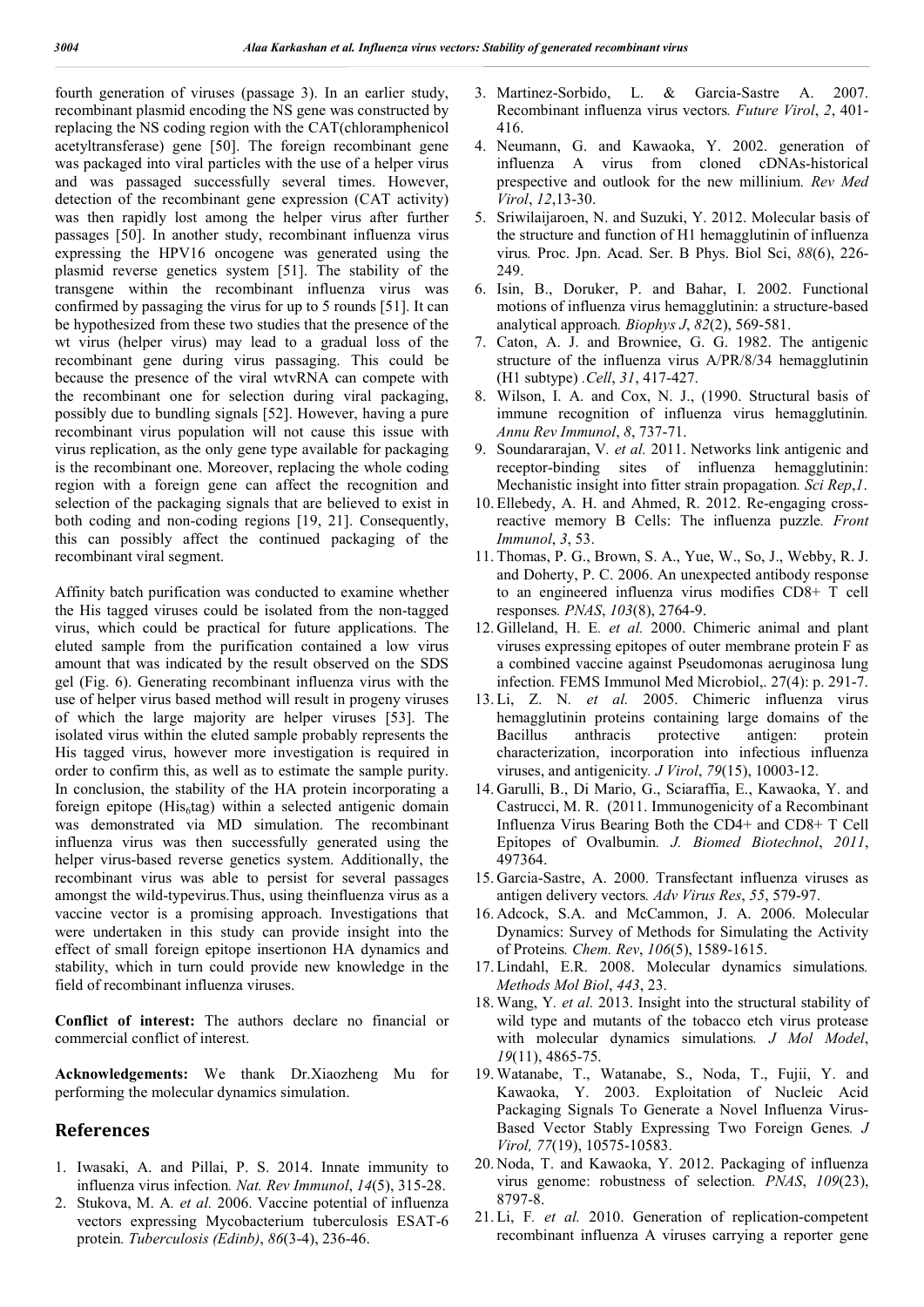fourth generation of viruses (passage 3). In an earlier study, recombinant plasmid encoding the NS gene was constructed by replacing the NS coding region with the CAT(chloramphenicol acetyltransferase) gene [50]. The foreign recombinant gene was packaged into viral particles with the use of a helper virus and was passaged successfully several times. However, detection of the recombinant gene expression (CAT activity) was then rapidly lost among the helper virus after further passages [50]. In another study, recombinant influenza virus expressing the HPV16 oncogene was generated using the plasmid reverse genetics system [51]. The stability of the transgene within the recombinant influenza virus was confirmed by passaging the virus for up to 5 rounds [51]. It can be hypothesized from these two studies that the presence of the wt virus (helper virus) may lead to a gradual loss of the recombinant gene during virus passaging. This could be because the presence of the viral wtvRNA can compete with the recombinant one for selection during viral packaging, possibly due to bundling signals [52]. However, having a pure recombinant virus population will not cause this issue with virus replication, as the only gene type available for packaging is the recombinant one. Moreover, replacing the whole coding region with a foreign gene can affect the recognition and selection of the packaging signals that are believed to exist in both coding and non-coding regions [19, 21]. Consequently, this can possibly affect the continued packaging of the recombinant viral segment.

Affinity batch purification was conducted to examine whether the His tagged viruses could be isolated from the non-tagged virus, which could be practical for future applications. The eluted sample from the purification contained a low virus amount that was indicated by the result observed on the SDS gel (Fig. 6). Generating recombinant influenza virus with the use of helper virus based method will result in progeny viruses of which the large majority are helper viruses [53]. The isolated virus within the eluted sample probably represents the His tagged virus, however more investigation is required in order to confirm this, as well as to estimate the sample purity. In conclusion, the stability of the HA protein incorporating a foreign epitope ( $His<sub>6</sub>tag$ ) within a selected antigenic domain was demonstrated via MD simulation. The recombinant influenza virus was then successfully generated using the helper virus-based reverse genetics system. Additionally, the recombinant virus was able to persist for several passages amongst the wild-typevirus.Thus, using theinfluenza virus as a vaccine vector is a promising approach. Investigations that were undertaken in this study can provide insight into the effect of small foreign epitope insertionon HA dynamics and stability, which in turn could provide new knowledge in the field of recombinant influenza viruses.

**Conflict of interest:** The authors declare no financial or commercial conflict of interest.

**Acknowledgements:** We thank Dr.Xiaozheng Mu for performing the molecular dynamics simulation.

#### **References**

- 1. Iwasaki, A. and Pillai, P. S. 2014. Innate immunity to influenza virus infection*. Nat. Rev Immunol*, *14*(5), 315-28.
- 2. Stukova, M. A*. et al.* 2006. Vaccine potential of influenza vectors expressing Mycobacterium tuberculosis ESAT-6 protein*. Tuberculosis (Edinb)*, *86*(3-4), 236-46.
- 3. Martinez-Sorbido, L. & Garcia-Sastre A. 2007. Recombinant influenza virus vectors*. Future Virol*, *2*, 401- 416.
- 4. Neumann, G. and Kawaoka, Y. 2002. generation of influenza A virus from cloned cDNAs-historical prespective and outlook for the new millinium*. Rev Med Virol*, *12*,13-30.
- 5. Sriwilaijaroen, N. and Suzuki, Y. 2012. Molecular basis of the structure and function of H1 hemagglutinin of influenza virus*.* Proc. Jpn. Acad. Ser. B Phys. Biol Sci, *88*(6), 226- 249.
- 6. Isin, B., Doruker, P. and Bahar, I. 2002. Functional motions of influenza virus hemagglutinin: a structure-based analytical approach*. Biophys J*, *82*(2), 569-581.
- 7. Caton, A. J. and Browniee, G. G. 1982. The antigenic structure of the influenza virus A/PR/8/34 hemagglutinin (H1 subtype) *.Cell*, *31*, 417-427.
- 8. Wilson, I. A. and Cox, N. J., (1990. Structural basis of immune recognition of influenza virus hemagglutinin*. Annu Rev Immunol*, *8*, 737-71.
- 9. Soundararajan, V*. et al.* 2011. Networks link antigenic and receptor-binding sites of influenza hemagglutinin: Mechanistic insight into fitter strain propagation*. Sci Rep*,*1*.
- 10. Ellebedy, A. H. and Ahmed, R. 2012. Re-engaging crossreactive memory B Cells: The influenza puzzle*. Front Immunol*, *3*, 53.
- 11. Thomas, P. G., Brown, S. A., Yue, W., So, J., Webby, R. J. and Doherty, P. C. 2006. An unexpected antibody response to an engineered influenza virus modifies CD8+ T cell responses*. PNAS*, *103*(8), 2764-9.
- 12. Gilleland, H. E*. et al.* 2000. Chimeric animal and plant viruses expressing epitopes of outer membrane protein F as a combined vaccine against Pseudomonas aeruginosa lung infection*.* FEMS Immunol Med Microbiol,. 27(4): p. 291-7.
- 13. Li, Z. N*. et al.* 2005. Chimeric influenza virus hemagglutinin proteins containing large domains of the Bacillus anthracis protective antigen: protein characterization, incorporation into infectious influenza viruses, and antigenicity*. J Virol*, *79*(15), 10003-12.
- 14. Garulli, B., Di Mario, G., Sciaraffia, E., Kawaoka, Y. and Castrucci, M. R. (2011. Immunogenicity of a Recombinant Influenza Virus Bearing Both the CD4+ and CD8+ T Cell Epitopes of Ovalbumin*. J. Biomed Biotechnol*, *2011*, 497364.
- 15. Garcia-Sastre, A. 2000. Transfectant influenza viruses as antigen delivery vectors*. Adv Virus Res*, *55*, 579-97.
- 16. Adcock, S.A. and McCammon, J. A. 2006. Molecular Dynamics: Survey of Methods for Simulating the Activity of Proteins*. Chem. Rev*, *106*(5), 1589-1615.
- 17. Lindahl, E.R. 2008. Molecular dynamics simulations*. Methods Mol Biol*, *443*, 23.
- 18. Wang, Y*. et al.* 2013. Insight into the structural stability of wild type and mutants of the tobacco etch virus protease with molecular dynamics simulations*. J Mol Model*, *19*(11), 4865-75.
- 19. Watanabe, T., Watanabe, S., Noda, T., Fujii, Y. and Kawaoka, Y. 2003. Exploitation of Nucleic Acid Packaging Signals To Generate a Novel Influenza Virus-Based Vector Stably Expressing Two Foreign Genes*. J Virol, 77*(19), 10575-10583.
- 20. Noda, T. and Kawaoka, Y. 2012. Packaging of influenza virus genome: robustness of selection*. PNAS*, *109*(23), 8797-8.
- 21. Li, F*. et al.* 2010. Generation of replication-competent recombinant influenza A viruses carrying a reporter gene